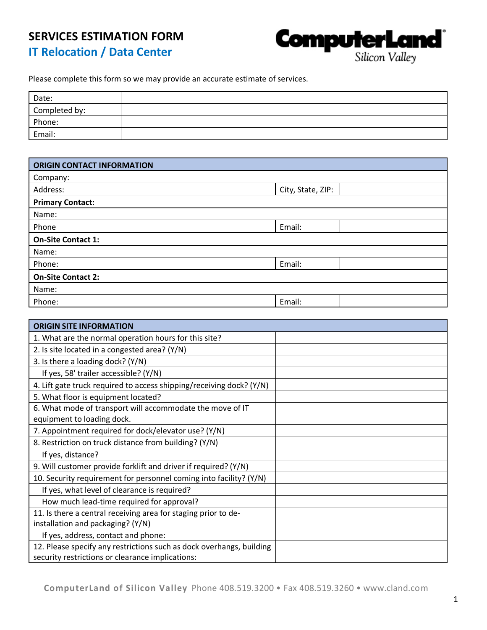## **SERVICES ESTIMATION FORM IT Relocation / Data Center**



Please complete this form so we may provide an accurate estimate of services.

| Date:         |  |
|---------------|--|
| Completed by: |  |
| Phone:        |  |
| Email:        |  |

| <b>ORIGIN CONTACT INFORMATION</b> |                   |  |  |  |
|-----------------------------------|-------------------|--|--|--|
| Company:                          |                   |  |  |  |
| Address:                          | City, State, ZIP: |  |  |  |
| <b>Primary Contact:</b>           |                   |  |  |  |
| Name:                             |                   |  |  |  |
| Phone                             | Email:            |  |  |  |
| <b>On-Site Contact 1:</b>         |                   |  |  |  |
| Name:                             |                   |  |  |  |
| Phone:                            | Email:            |  |  |  |
| <b>On-Site Contact 2:</b>         |                   |  |  |  |
| Name:                             |                   |  |  |  |
| Phone:                            | Email:            |  |  |  |

| <b>ORIGIN SITE INFORMATION</b>                                       |  |
|----------------------------------------------------------------------|--|
| 1. What are the normal operation hours for this site?                |  |
| 2. Is site located in a congested area? (Y/N)                        |  |
| 3. Is there a loading dock? (Y/N)                                    |  |
| If yes, 58' trailer accessible? (Y/N)                                |  |
| 4. Lift gate truck required to access shipping/receiving dock? (Y/N) |  |
| 5. What floor is equipment located?                                  |  |
| 6. What mode of transport will accommodate the move of IT            |  |
| equipment to loading dock.                                           |  |
| 7. Appointment required for dock/elevator use? (Y/N)                 |  |
| 8. Restriction on truck distance from building? (Y/N)                |  |
| If yes, distance?                                                    |  |
| 9. Will customer provide forklift and driver if required? (Y/N)      |  |
| 10. Security requirement for personnel coming into facility? (Y/N)   |  |
| If yes, what level of clearance is required?                         |  |
| How much lead-time required for approval?                            |  |
| 11. Is there a central receiving area for staging prior to de-       |  |
| installation and packaging? (Y/N)                                    |  |
| If yes, address, contact and phone:                                  |  |
| 12. Please specify any restrictions such as dock overhangs, building |  |
| security restrictions or clearance implications:                     |  |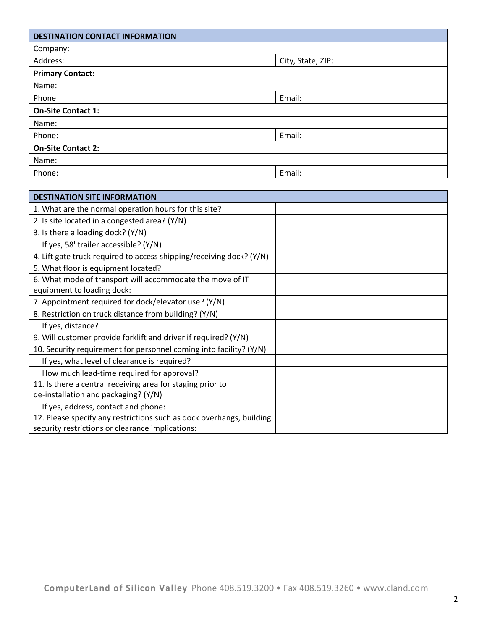| <b>DESTINATION CONTACT INFORMATION</b> |  |                   |  |  |  |
|----------------------------------------|--|-------------------|--|--|--|
| Company:                               |  |                   |  |  |  |
| Address:                               |  | City, State, ZIP: |  |  |  |
| <b>Primary Contact:</b>                |  |                   |  |  |  |
| Name:                                  |  |                   |  |  |  |
| Phone                                  |  | Email:            |  |  |  |
| <b>On-Site Contact 1:</b>              |  |                   |  |  |  |
| Name:                                  |  |                   |  |  |  |
| Phone:                                 |  | Email:            |  |  |  |
| <b>On-Site Contact 2:</b>              |  |                   |  |  |  |
| Name:                                  |  |                   |  |  |  |
| Phone:                                 |  | Email:            |  |  |  |

| <b>DESTINATION SITE INFORMATION</b>                                  |  |
|----------------------------------------------------------------------|--|
| 1. What are the normal operation hours for this site?                |  |
| 2. Is site located in a congested area? (Y/N)                        |  |
| 3. Is there a loading dock? (Y/N)                                    |  |
| If yes, 58' trailer accessible? (Y/N)                                |  |
| 4. Lift gate truck required to access shipping/receiving dock? (Y/N) |  |
| 5. What floor is equipment located?                                  |  |
| 6. What mode of transport will accommodate the move of IT            |  |
| equipment to loading dock:                                           |  |
| 7. Appointment required for dock/elevator use? (Y/N)                 |  |
| 8. Restriction on truck distance from building? (Y/N)                |  |
| If yes, distance?                                                    |  |
| 9. Will customer provide forklift and driver if required? (Y/N)      |  |
| 10. Security requirement for personnel coming into facility? (Y/N)   |  |
| If yes, what level of clearance is required?                         |  |
| How much lead-time required for approval?                            |  |
| 11. Is there a central receiving area for staging prior to           |  |
| de-installation and packaging? (Y/N)                                 |  |
| If yes, address, contact and phone:                                  |  |
| 12. Please specify any restrictions such as dock overhangs, building |  |
| security restrictions or clearance implications:                     |  |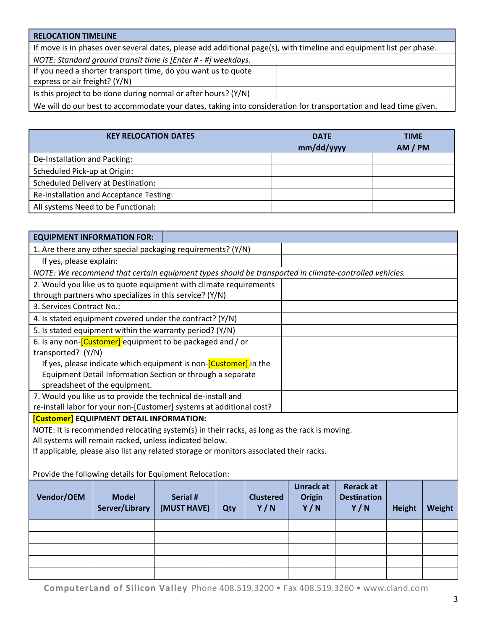| <b>RELOCATION TIMELINE</b>                                                                                                                     |  |
|------------------------------------------------------------------------------------------------------------------------------------------------|--|
| If move is in phases over several dates, please add additional page(s), with timeline and equipment list per phase.                            |  |
| NOTE: Standard ground transit time is [Enter # - #] weekdays.                                                                                  |  |
| If you need a shorter transport time, do you want us to quote                                                                                  |  |
| express or air freight? (Y/N)                                                                                                                  |  |
| Is this project to be done during normal or after hours? (Y/N)                                                                                 |  |
| $\mathbf{1}$ , and $\mathbf{1}$ , and $\mathbf{1}$ , and $\mathbf{1}$ , and $\mathbf{1}$ , and $\mathbf{1}$ , and $\mathbf{1}$<br>$\mathbf{r}$ |  |

We will do our best to accommodate your dates, taking into consideration for transportation and lead time given.

| <b>KEY RELOCATION DATES</b>               | <b>DATE</b> | <b>TIME</b> |  |
|-------------------------------------------|-------------|-------------|--|
|                                           | mm/dd/yyyy  | AM / PM     |  |
| De-Installation and Packing:              |             |             |  |
| Scheduled Pick-up at Origin:              |             |             |  |
| <b>Scheduled Delivery at Destination:</b> |             |             |  |
| Re-installation and Acceptance Testing:   |             |             |  |
| All systems Need to be Functional:        |             |             |  |

| <b>EQUIPMENT INFORMATION FOR:</b>                                                                     |  |  |  |  |  |  |  |
|-------------------------------------------------------------------------------------------------------|--|--|--|--|--|--|--|
| 1. Are there any other special packaging requirements? (Y/N)                                          |  |  |  |  |  |  |  |
| If yes, please explain:                                                                               |  |  |  |  |  |  |  |
| NOTE: We recommend that certain equipment types should be transported in climate-controlled vehicles. |  |  |  |  |  |  |  |
| 2. Would you like us to quote equipment with climate requirements                                     |  |  |  |  |  |  |  |
| through partners who specializes in this service? (Y/N)                                               |  |  |  |  |  |  |  |
| 3. Services Contract No.:                                                                             |  |  |  |  |  |  |  |
| 4. Is stated equipment covered under the contract? (Y/N)                                              |  |  |  |  |  |  |  |
| 5. Is stated equipment within the warranty period? (Y/N)                                              |  |  |  |  |  |  |  |
| 6. Is any non- <i>[Customer]</i> equipment to be packaged and / or                                    |  |  |  |  |  |  |  |
| transported? (Y/N)                                                                                    |  |  |  |  |  |  |  |
| If yes, please indicate which equipment is non- <i>[Customer]</i> in the                              |  |  |  |  |  |  |  |
| Equipment Detail Information Section or through a separate                                            |  |  |  |  |  |  |  |
| spreadsheet of the equipment.                                                                         |  |  |  |  |  |  |  |
| 7. Would you like us to provide the technical de-install and                                          |  |  |  |  |  |  |  |
| re-install labor for your non-[Customer] systems at additional cost?                                  |  |  |  |  |  |  |  |
| [Customer] EQUIPMENT DETAIL INFORMATION:                                                              |  |  |  |  |  |  |  |
| NOTE: It is recommended relocating system(s) in their racks, as long as the rack is moving.           |  |  |  |  |  |  |  |
| All systems will remain racked, unless indicated below.                                               |  |  |  |  |  |  |  |
| If applicable, please also list any related storage or monitors associated their racks.               |  |  |  |  |  |  |  |
|                                                                                                       |  |  |  |  |  |  |  |
| Provide the following details for Equipment Relocation:                                               |  |  |  |  |  |  |  |

| Vendor/OEM | <b>Model</b><br>Server/Library | Serial #<br>(MUST HAVE) | Qty | <b>Clustered</b><br>Y/N | <b>Unrack at</b><br><b>Origin</b><br>Y/N | <b>Rerack at</b><br><b>Destination</b><br>Y/N | <b>Height</b> | Weight |
|------------|--------------------------------|-------------------------|-----|-------------------------|------------------------------------------|-----------------------------------------------|---------------|--------|
|            |                                |                         |     |                         |                                          |                                               |               |        |
|            |                                |                         |     |                         |                                          |                                               |               |        |
|            |                                |                         |     |                         |                                          |                                               |               |        |
|            |                                |                         |     |                         |                                          |                                               |               |        |
|            |                                |                         |     |                         |                                          |                                               |               |        |

**ComputerLand of Silicon Valley** Phone 408.519.3200 • Fax 408.519.3260 • www.cland.com